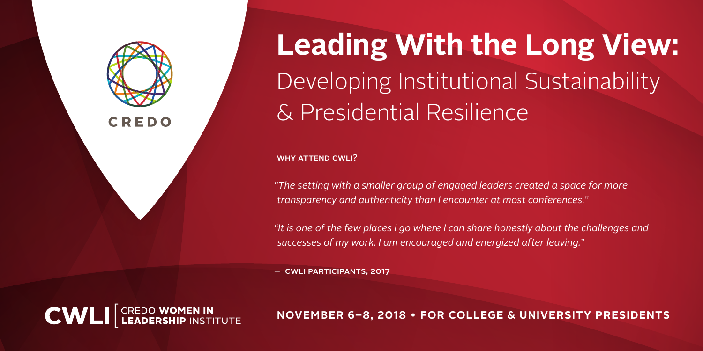

Developing Institutional Sustainability & Presidential Resilience **Leading With the Long View:**

WHY ATTEND CWLI?

*"The setting with a smaller group of engaged leaders created a space for more transparency and authenticity than I encounter at most conferences."*

*"It is one of the few places I go where I can share honestly about the challenges and successes of my work. I am encouraged and energized after leaving."*

– CWLI Participants, 2017



**NOVEMBER 6–8, 2018 • FOR COLLEGE & UNIVERSITY PRESIDENTS**